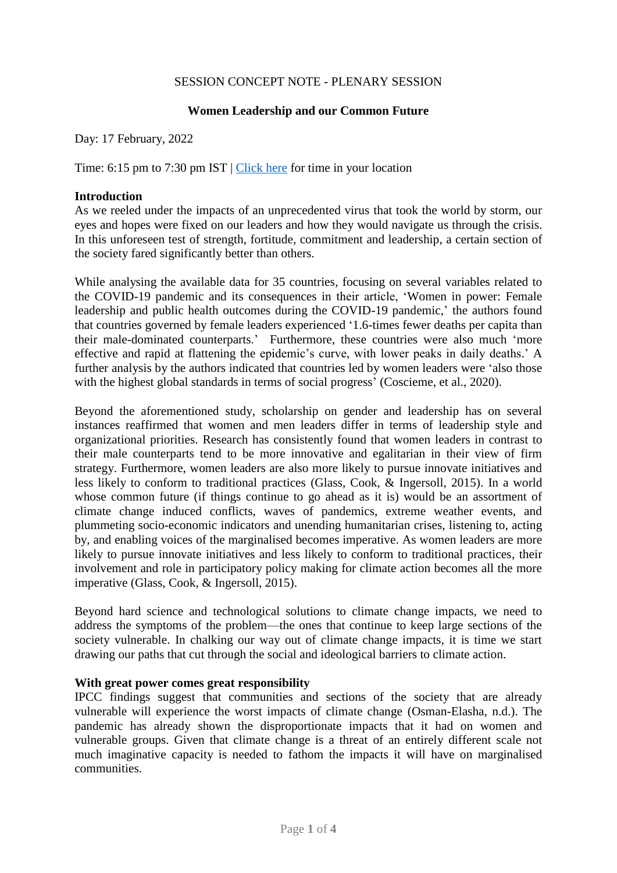#### SESSION CONCEPT NOTE - PLENARY SESSION

#### **Women Leadership and our Common Future**

Day: 17 February, 2022

Time: 6:15 pm to 7:30 pm IST | [Click here](https://www.timeanddate.com/worldclock/fixedtime.html?msg=WSDS+2022+-+Women+Leadership+Plenary&iso=20220217T1815&p1=176&ah=1&am=15) for time in your location

#### **Introduction**

As we reeled under the impacts of an unprecedented virus that took the world by storm, our eyes and hopes were fixed on our leaders and how they would navigate us through the crisis. In this unforeseen test of strength, fortitude, commitment and leadership, a certain section of the society fared significantly better than others.

While analysing the available data for 35 countries, focusing on several variables related to the COVID-19 pandemic and its consequences in their article, 'Women in power: Female leadership and public health outcomes during the COVID-19 pandemic,' the authors found that countries governed by female leaders experienced '1.6-times fewer deaths per capita than their male-dominated counterparts.' Furthermore, these countries were also much 'more effective and rapid at flattening the epidemic's curve, with lower peaks in daily deaths.' A further analysis by the authors indicated that countries led by women leaders were 'also those with the highest global standards in terms of social progress' (Coscieme, et al., 2020).

Beyond the aforementioned study, scholarship on gender and leadership has on several instances reaffirmed that women and men leaders differ in terms of leadership style and organizational priorities. Research has consistently found that women leaders in contrast to their male counterparts tend to be more innovative and egalitarian in their view of firm strategy. Furthermore, women leaders are also more likely to pursue innovate initiatives and less likely to conform to traditional practices (Glass, Cook, & Ingersoll, 2015). In a world whose common future (if things continue to go ahead as it is) would be an assortment of climate change induced conflicts, waves of pandemics, extreme weather events, and plummeting socio-economic indicators and unending humanitarian crises, listening to, acting by, and enabling voices of the marginalised becomes imperative. As women leaders are more likely to pursue innovate initiatives and less likely to conform to traditional practices, their involvement and role in participatory policy making for climate action becomes all the more imperative (Glass, Cook, & Ingersoll, 2015).

Beyond hard science and technological solutions to climate change impacts, we need to address the symptoms of the problem—the ones that continue to keep large sections of the society vulnerable. In chalking our way out of climate change impacts, it is time we start drawing our paths that cut through the social and ideological barriers to climate action.

#### **With great power comes great responsibility**

IPCC findings suggest that communities and sections of the society that are already vulnerable will experience the worst impacts of climate change (Osman-Elasha, n.d.). The pandemic has already shown the disproportionate impacts that it had on women and vulnerable groups. Given that climate change is a threat of an entirely different scale not much imaginative capacity is needed to fathom the impacts it will have on marginalised communities.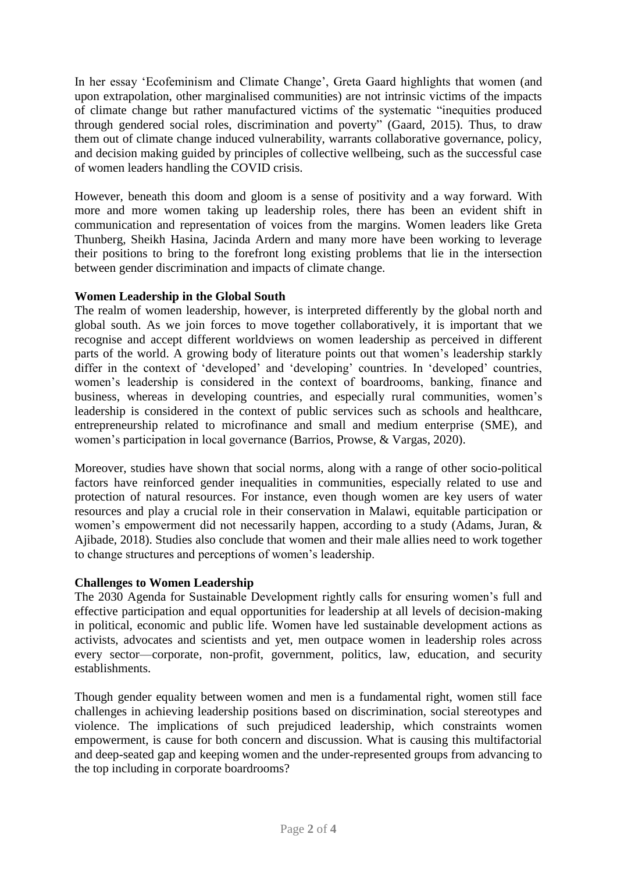In her essay 'Ecofeminism and Climate Change', Greta Gaard highlights that women (and upon extrapolation, other marginalised communities) are not intrinsic victims of the impacts of climate change but rather manufactured victims of the systematic "inequities produced through gendered social roles, discrimination and poverty" (Gaard, 2015). Thus, to draw them out of climate change induced vulnerability, warrants collaborative governance, policy, and decision making guided by principles of collective wellbeing, such as the successful case of women leaders handling the COVID crisis.

However, beneath this doom and gloom is a sense of positivity and a way forward. With more and more women taking up leadership roles, there has been an evident shift in communication and representation of voices from the margins. Women leaders like Greta Thunberg, Sheikh Hasina, Jacinda Ardern and many more have been working to leverage their positions to bring to the forefront long existing problems that lie in the intersection between gender discrimination and impacts of climate change.

## **Women Leadership in the Global South**

The realm of women leadership, however, is interpreted differently by the global north and global south. As we join forces to move together collaboratively, it is important that we recognise and accept different worldviews on women leadership as perceived in different parts of the world. A growing body of literature points out that women's leadership starkly differ in the context of 'developed' and 'developing' countries. In 'developed' countries, women's leadership is considered in the context of boardrooms, banking, finance and business, whereas in developing countries, and especially rural communities, women's leadership is considered in the context of public services such as schools and healthcare, entrepreneurship related to microfinance and small and medium enterprise (SME), and women's participation in local governance (Barrios, Prowse, & Vargas, 2020).

Moreover, studies have shown that social norms, along with a range of other socio-political factors have reinforced gender inequalities in communities, especially related to use and protection of natural resources. For instance, even though women are key users of water resources and play a crucial role in their conservation in Malawi, equitable participation or women's empowerment did not necessarily happen, according to a study (Adams, Juran, & Ajibade, 2018). Studies also conclude that women and their male allies need to work together to change structures and perceptions of women's leadership.

## **Challenges to Women Leadership**

The 2030 Agenda for Sustainable Development rightly calls for ensuring women's full and effective participation and equal opportunities for leadership at all levels of decision-making in political, economic and public life. Women have led sustainable development actions as activists, advocates and scientists and yet, men outpace women in leadership roles across every sector—corporate, non-profit, government, politics, law, education, and security establishments.

Though gender equality between women and men is a fundamental right, women still face challenges in achieving leadership positions based on discrimination, social stereotypes and violence. The implications of such prejudiced leadership, which constraints women empowerment, is cause for both concern and discussion. What is causing this multifactorial and deep-seated gap and keeping women and the under-represented groups from advancing to the top including in corporate boardrooms?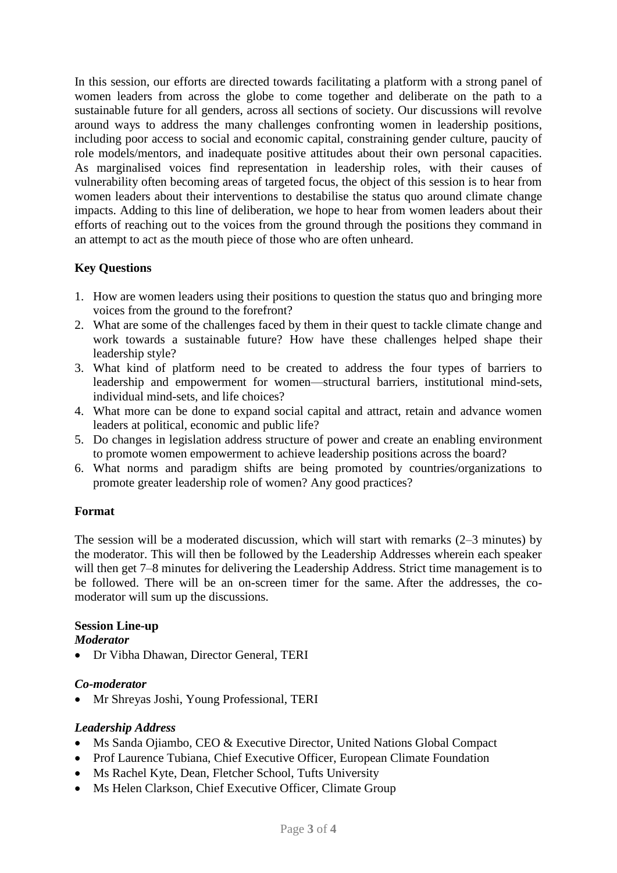In this session, our efforts are directed towards facilitating a platform with a strong panel of women leaders from across the globe to come together and deliberate on the path to a sustainable future for all genders, across all sections of society. Our discussions will revolve around ways to address the many challenges confronting women in leadership positions, including poor access to social and economic capital, constraining gender culture, paucity of role models/mentors, and inadequate positive attitudes about their own personal capacities. As marginalised voices find representation in leadership roles, with their causes of vulnerability often becoming areas of targeted focus, the object of this session is to hear from women leaders about their interventions to destabilise the status quo around climate change impacts. Adding to this line of deliberation, we hope to hear from women leaders about their efforts of reaching out to the voices from the ground through the positions they command in an attempt to act as the mouth piece of those who are often unheard.

## **Key Questions**

- 1. How are women leaders using their positions to question the status quo and bringing more voices from the ground to the forefront?
- 2. What are some of the challenges faced by them in their quest to tackle climate change and work towards a sustainable future? How have these challenges helped shape their leadership style?
- 3. What kind of platform need to be created to address the four types of barriers to leadership and empowerment for women—structural barriers, institutional mind-sets, individual mind-sets, and life choices?
- 4. What more can be done to expand social capital and attract, retain and advance women leaders at political, economic and public life?
- 5. Do changes in legislation address structure of power and create an enabling environment to promote women empowerment to achieve leadership positions across the board?
- 6. What norms and paradigm shifts are being promoted by countries/organizations to promote greater leadership role of women? Any good practices?

## **Format**

The session will be a moderated discussion, which will start with remarks (2–3 minutes) by the moderator. This will then be followed by the Leadership Addresses wherein each speaker will then get 7–8 minutes for delivering the Leadership Address. Strict time management is to be followed. There will be an on-screen timer for the same. After the addresses, the comoderator will sum up the discussions.

# **Session Line-up**

### *Moderator*

Dr Vibha Dhawan, Director General, TERI

## *Co-moderator*

Mr Shreyas Joshi, Young Professional, TERI

## *Leadership Address*

- Ms Sanda Ojiambo, CEO & Executive Director, United Nations Global Compact
- Prof Laurence Tubiana, Chief Executive Officer, European Climate Foundation
- Ms Rachel Kyte, Dean, Fletcher School, Tufts University
- Ms Helen Clarkson, Chief Executive Officer, Climate Group